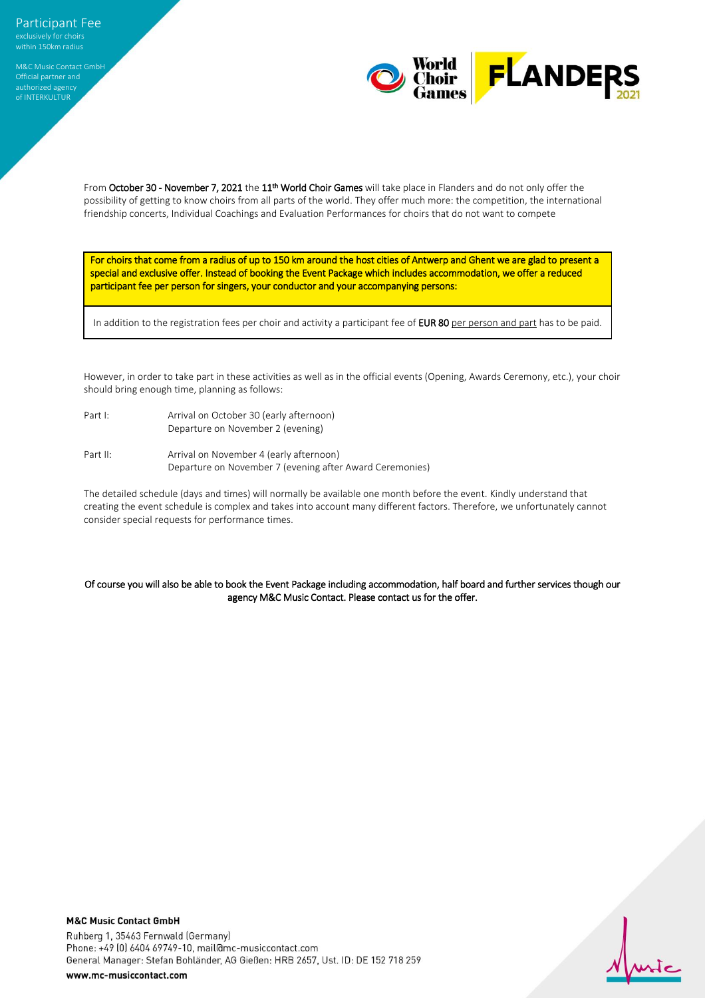Official partner and authorized agency of INTERKULTUR

World **FLANDERS**<br>Games **FLANDERS** 

From **October 30 - November 7, 2021** the 11<sup>th</sup> World Choir Games will take place in Flanders and do not only offer the possibility of getting to know choirs from all parts of the world. They offer much more: the competition, the international friendship concerts, Individual Coachings and Evaluation Performances for choirs that do not want to compete

For choirs that come from a radius of up to 150 km around the host cities of Antwerp and Ghent we are glad to present a special and exclusive offer. Instead of booking the Event Package which includes accommodation, we offer a reduced participant fee per person for singers, your conductor and your accompanying persons:

In addition to the registration fees per choir and activity a participant fee of EUR 80 per person and part has to be paid.

However, in order to take part in these activities as well as in the official events (Opening, Awards Ceremony, etc.), your choir should bring enough time, planning as follows:

- Part I: Arrival on October 30 (early afternoon) Departure on November 2 (evening)
- Part II: Arrival on November 4 (early afternoon) Departure on November 7 (evening after Award Ceremonies)

The detailed schedule (days and times) will normally be available one month before the event. Kindly understand that creating the event schedule is complex and takes into account many different factors. Therefore, we unfortunately cannot consider special requests for performance times.

## Of course you will also be able to book the Event Package including accommodation, half board and further services though our agency M&C Music Contact. Please contact us for the offer.